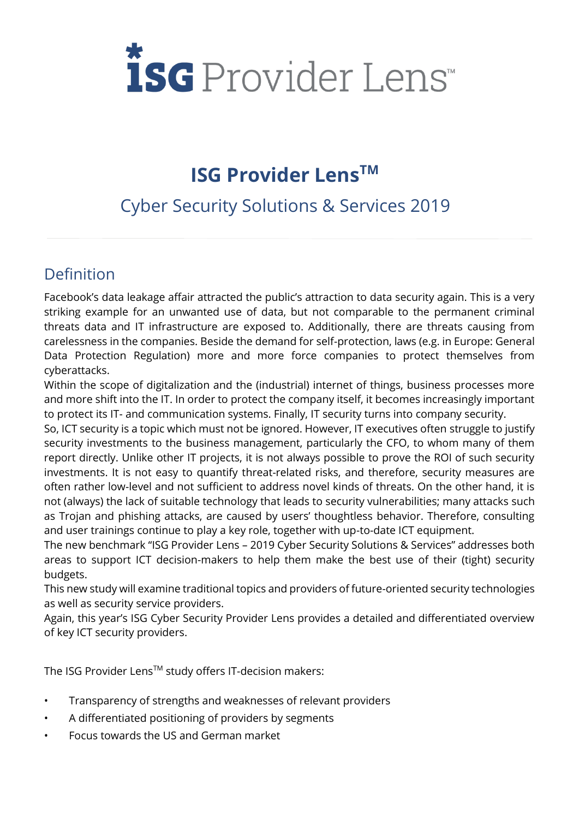# *isc* Provider Lens

# **ISG Provider LensTM**

# Cyber Security Solutions & Services 2019

## Definition

Facebook's data leakage affair attracted the public's attraction to data security again. This is a very striking example for an unwanted use of data, but not comparable to the permanent criminal threats data and IT infrastructure are exposed to. Additionally, there are threats causing from carelessness in the companies. Beside the demand for self-protection, laws (e.g. in Europe: General Data Protection Regulation) more and more force companies to protect themselves from cyberattacks.

Within the scope of digitalization and the (industrial) internet of things, business processes more and more shift into the IT. In order to protect the company itself, it becomes increasingly important to protect its IT- and communication systems. Finally, IT security turns into company security.

So, ICT security is a topic which must not be ignored. However, IT executives often struggle to justify security investments to the business management, particularly the CFO, to whom many of them report directly. Unlike other IT projects, it is not always possible to prove the ROI of such security investments. It is not easy to quantify threat-related risks, and therefore, security measures are often rather low-level and not sufficient to address novel kinds of threats. On the other hand, it is not (always) the lack of suitable technology that leads to security vulnerabilities; many attacks such as Trojan and phishing attacks, are caused by users' thoughtless behavior. Therefore, consulting and user trainings continue to play a key role, together with up-to-date ICT equipment.

The new benchmark "ISG Provider Lens – 2019 Cyber Security Solutions & Services" addresses both areas to support ICT decision-makers to help them make the best use of their (tight) security budgets.

This new study will examine traditional topics and providers of future-oriented security technologies as well as security service providers.

Again, this year's ISG Cyber Security Provider Lens provides a detailed and differentiated overview of key ICT security providers.

The ISG Provider Lens™ study offers IT-decision makers:

- Transparency of strengths and weaknesses of relevant providers
- A differentiated positioning of providers by segments
- Focus towards the US and German market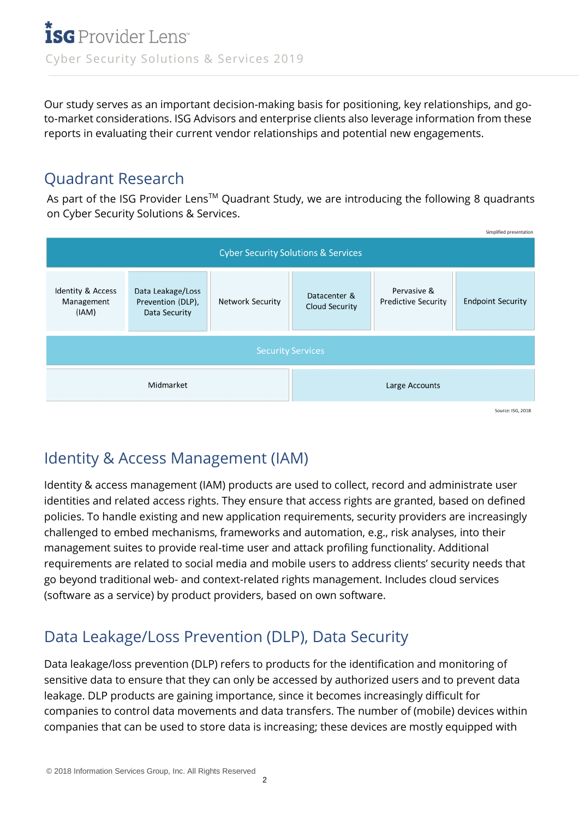Our study serves as an important decision-making basis for positioning, key relationships, and goto-market considerations. ISG Advisors and enterprise clients also leverage information from these reports in evaluating their current vendor relationships and potential new engagements.

#### Quadrant Research

As part of the ISG Provider Lens™ Quadrant Study, we are introducing the following 8 quadrants on Cyber Security Solutions & Services.



## Identity & Access Management (IAM)

Identity & access management (IAM) products are used to collect, record and administrate user identities and related access rights. They ensure that access rights are granted, based on defined policies. To handle existing and new application requirements, security providers are increasingly challenged to embed mechanisms, frameworks and automation, e.g., risk analyses, into their management suites to provide real-time user and attack profiling functionality. Additional requirements are related to social media and mobile users to address clients' security needs that go beyond traditional web- and context-related rights management. Includes cloud services (software as a service) by product providers, based on own software.

# Data Leakage/Loss Prevention (DLP), Data Security

Data leakage/loss prevention (DLP) refers to products for the identification and monitoring of sensitive data to ensure that they can only be accessed by authorized users and to prevent data leakage. DLP products are gaining importance, since it becomes increasingly difficult for companies to control data movements and data transfers. The number of (mobile) devices within companies that can be used to store data is increasing; these devices are mostly equipped with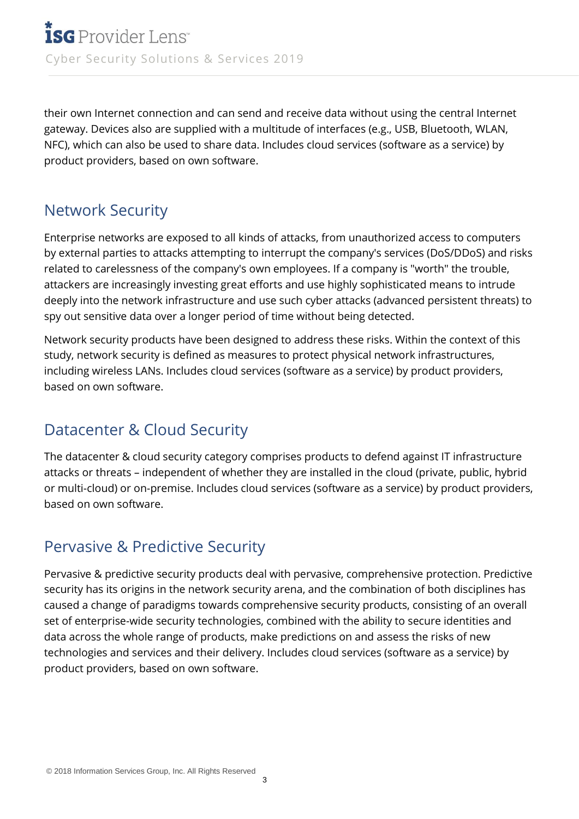their own Internet connection and can send and receive data without using the central Internet gateway. Devices also are supplied with a multitude of interfaces (e.g., USB, Bluetooth, WLAN, NFC), which can also be used to share data. Includes cloud services (software as a service) by product providers, based on own software.

## Network Security

Enterprise networks are exposed to all kinds of attacks, from unauthorized access to computers by external parties to attacks attempting to interrupt the company's services (DoS/DDoS) and risks related to carelessness of the company's own employees. If a company is "worth" the trouble, attackers are increasingly investing great efforts and use highly sophisticated means to intrude deeply into the network infrastructure and use such cyber attacks (advanced persistent threats) to spy out sensitive data over a longer period of time without being detected.

Network security products have been designed to address these risks. Within the context of this study, network security is defined as measures to protect physical network infrastructures, including wireless LANs. Includes cloud services (software as a service) by product providers, based on own software.

## Datacenter & Cloud Security

The datacenter & cloud security category comprises products to defend against IT infrastructure attacks or threats – independent of whether they are installed in the cloud (private, public, hybrid or multi-cloud) or on-premise. Includes cloud services (software as a service) by product providers, based on own software.

#### Pervasive & Predictive Security

Pervasive & predictive security products deal with pervasive, comprehensive protection. Predictive security has its origins in the network security arena, and the combination of both disciplines has caused a change of paradigms towards comprehensive security products, consisting of an overall set of enterprise-wide security technologies, combined with the ability to secure identities and data across the whole range of products, make predictions on and assess the risks of new technologies and services and their delivery. Includes cloud services (software as a service) by product providers, based on own software.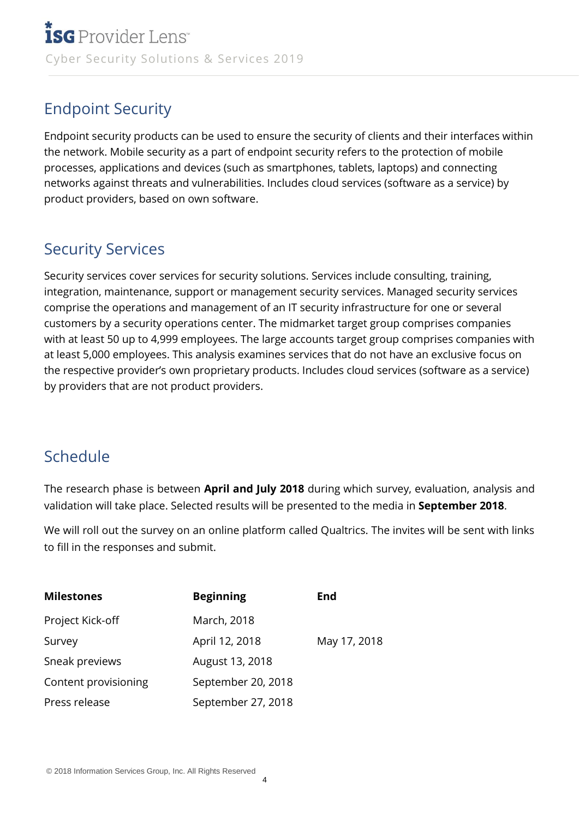## Endpoint Security

Endpoint security products can be used to ensure the security of clients and their interfaces within the network. Mobile security as a part of endpoint security refers to the protection of mobile processes, applications and devices (such as smartphones, tablets, laptops) and connecting networks against threats and vulnerabilities. Includes cloud services (software as a service) by product providers, based on own software.

#### Security Services

Security services cover services for security solutions. Services include consulting, training, integration, maintenance, support or management security services. Managed security services comprise the operations and management of an IT security infrastructure for one or several customers by a security operations center. The midmarket target group comprises companies with at least 50 up to 4,999 employees. The large accounts target group comprises companies with at least 5,000 employees. This analysis examines services that do not have an exclusive focus on the respective provider's own proprietary products. Includes cloud services (software as a service) by providers that are not product providers.

#### Schedule

The research phase is between **April and July 2018** during which survey, evaluation, analysis and validation will take place. Selected results will be presented to the media in **September 2018**.

We will roll out the survey on an online platform called Qualtrics. The invites will be sent with links to fill in the responses and submit.

| <b>Milestones</b>    | <b>Beginning</b>   | <b>End</b>   |
|----------------------|--------------------|--------------|
| Project Kick-off     | March, 2018        |              |
| Survey               | April 12, 2018     | May 17, 2018 |
| Sneak previews       | August 13, 2018    |              |
| Content provisioning | September 20, 2018 |              |
| Press release        | September 27, 2018 |              |